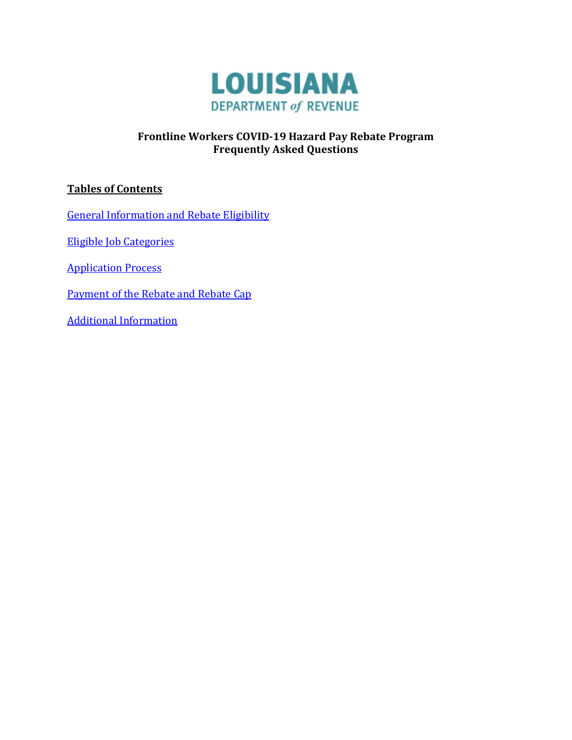

# **Frontline Workers COVID-19 Hazard Pay Rebate Program Frequently Asked Questions**

# **Tables of Contents**

[General Information and Rebate Eligibility](#page-1-0)

[Eligible Job Categories](#page-4-0)

[Application Process](#page-6-0)

[Payment of the Rebate and Rebate Cap](#page-8-0)

[Additional Information](#page-9-0)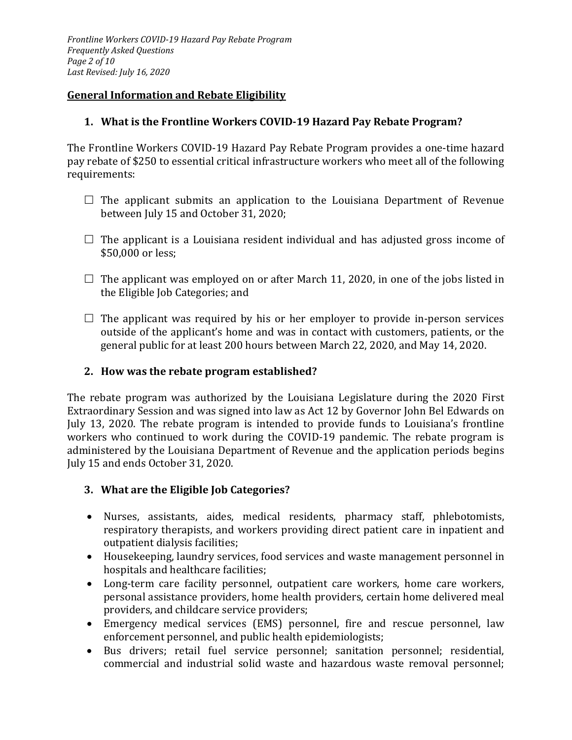#### <span id="page-1-0"></span>**General Information and Rebate Eligibility**

#### **1. What is the Frontline Workers COVID-19 Hazard Pay Rebate Program?**

The Frontline Workers COVID-19 Hazard Pay Rebate Program provides a one-time hazard pay rebate of \$250 to essential critical infrastructure workers who meet all of the following requirements:

- $\Box$  The applicant submits an application to the Louisiana Department of Revenue between July 15 and October 31, 2020;
- $\Box$  The applicant is a Louisiana resident individual and has adjusted gross income of \$50,000 or less;
- $\Box$  The applicant was employed on or after March 11, 2020, in one of the jobs listed in the Eligible Job Categories; and
- $\Box$  The applicant was required by his or her employer to provide in-person services outside of the applicant's home and was in contact with customers, patients, or the general public for at least 200 hours between March 22, 2020, and May 14, 2020.

#### **2. How was the rebate program established?**

The rebate program was authorized by the Louisiana Legislature during the 2020 First Extraordinary Session and was signed into law as Act 12 by Governor John Bel Edwards on July 13, 2020. The rebate program is intended to provide funds to Louisiana's frontline workers who continued to work during the COVID-19 pandemic. The rebate program is administered by the Louisiana Department of Revenue and the application periods begins July 15 and ends October 31, 2020.

#### **3. What are the Eligible Job Categories?**

- Nurses, assistants, aides, medical residents, pharmacy staff, phlebotomists, respiratory therapists, and workers providing direct patient care in inpatient and outpatient dialysis facilities;
- Housekeeping, laundry services, food services and waste management personnel in hospitals and healthcare facilities;
- Long-term care facility personnel, outpatient care workers, home care workers, personal assistance providers, home health providers, certain home delivered meal providers, and childcare service providers;
- Emergency medical services (EMS) personnel, fire and rescue personnel, law enforcement personnel, and public health epidemiologists;
- Bus drivers; retail fuel service personnel; sanitation personnel; residential, commercial and industrial solid waste and hazardous waste removal personnel;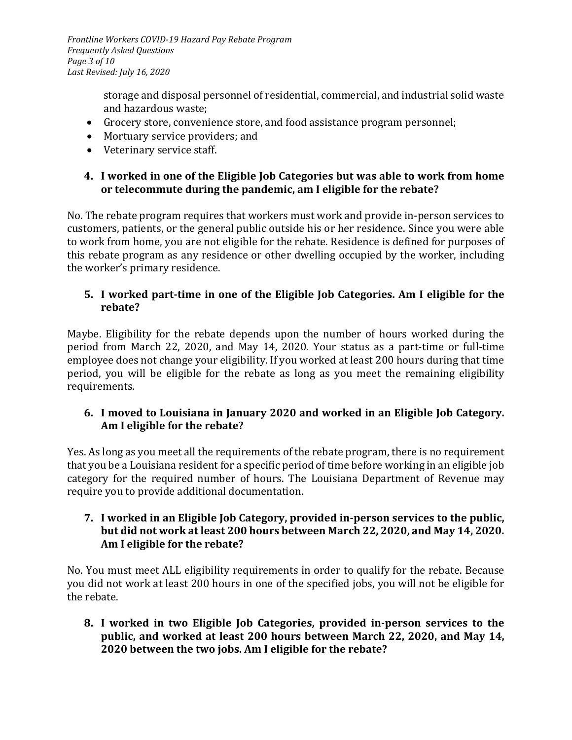*Frontline Workers COVID-19 Hazard Pay Rebate Program Frequently Asked Questions Page 3 of 10 Last Revised: July 16, 2020*

> storage and disposal personnel of residential, commercial, and industrial solid waste and hazardous waste;

- Grocery store, convenience store, and food assistance program personnel;
- Mortuary service providers; and
- Veterinary service staff.

### **4. I worked in one of the Eligible Job Categories but was able to work from home or telecommute during the pandemic, am I eligible for the rebate?**

No. The rebate program requires that workers must work and provide in-person services to customers, patients, or the general public outside his or her residence. Since you were able to work from home, you are not eligible for the rebate. Residence is defined for purposes of this rebate program as any residence or other dwelling occupied by the worker, including the worker's primary residence.

# **5. I worked part-time in one of the Eligible Job Categories. Am I eligible for the rebate?**

Maybe. Eligibility for the rebate depends upon the number of hours worked during the period from March 22, 2020, and May 14, 2020. Your status as a part-time or full-time employee does not change your eligibility. If you worked at least 200 hours during that time period, you will be eligible for the rebate as long as you meet the remaining eligibility requirements.

# **6. I moved to Louisiana in January 2020 and worked in an Eligible Job Category. Am I eligible for the rebate?**

Yes. As long as you meet all the requirements of the rebate program, there is no requirement that you be a Louisiana resident for a specific period of time before working in an eligible job category for the required number of hours. The Louisiana Department of Revenue may require you to provide additional documentation.

### **7. I worked in an Eligible Job Category, provided in-person services to the public, but did not work at least 200 hours between March 22, 2020, and May 14, 2020. Am I eligible for the rebate?**

No. You must meet ALL eligibility requirements in order to qualify for the rebate. Because you did not work at least 200 hours in one of the specified jobs, you will not be eligible for the rebate.

**8. I worked in two Eligible Job Categories, provided in-person services to the public, and worked at least 200 hours between March 22, 2020, and May 14, 2020 between the two jobs. Am I eligible for the rebate?**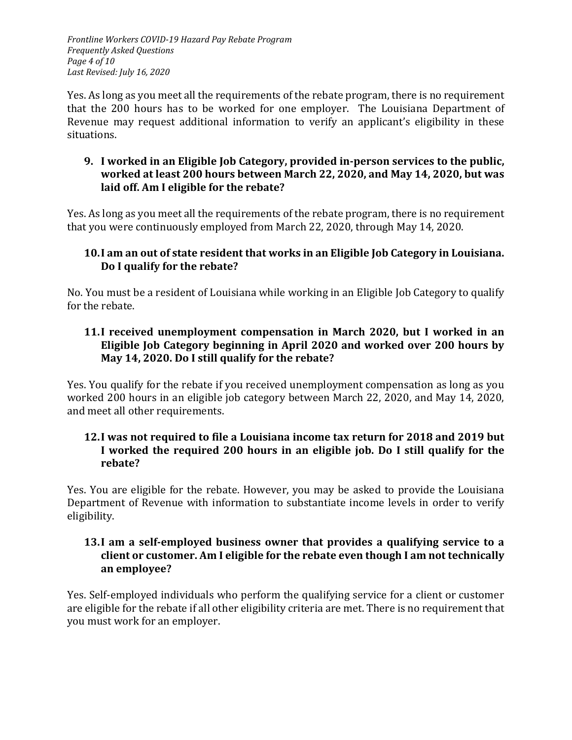*Frontline Workers COVID-19 Hazard Pay Rebate Program Frequently Asked Questions Page 4 of 10 Last Revised: July 16, 2020*

Yes. As long as you meet all the requirements of the rebate program, there is no requirement that the 200 hours has to be worked for one employer. The Louisiana Department of Revenue may request additional information to verify an applicant's eligibility in these situations.

### **9. I worked in an Eligible Job Category, provided in-person services to the public, worked at least 200 hours between March 22, 2020, and May 14, 2020, but was laid off. Am I eligible for the rebate?**

Yes. As long as you meet all the requirements of the rebate program, there is no requirement that you were continuously employed from March 22, 2020, through May 14, 2020.

### **10.I am an out of state resident that works in an Eligible Job Category in Louisiana. Do I qualify for the rebate?**

No. You must be a resident of Louisiana while working in an Eligible Job Category to qualify for the rebate.

### **11.I received unemployment compensation in March 2020, but I worked in an Eligible Job Category beginning in April 2020 and worked over 200 hours by May 14, 2020. Do I still qualify for the rebate?**

Yes. You qualify for the rebate if you received unemployment compensation as long as you worked 200 hours in an eligible job category between March 22, 2020, and May 14, 2020, and meet all other requirements.

### **12.I was not required to file a Louisiana income tax return for 2018 and 2019 but I worked the required 200 hours in an eligible job. Do I still qualify for the rebate?**

Yes. You are eligible for the rebate. However, you may be asked to provide the Louisiana Department of Revenue with information to substantiate income levels in order to verify eligibility.

### **13.I am a self-employed business owner that provides a qualifying service to a client or customer. Am I eligible for the rebate even though I am not technically an employee?**

Yes. Self-employed individuals who perform the qualifying service for a client or customer are eligible for the rebate if all other eligibility criteria are met. There is no requirement that you must work for an employer.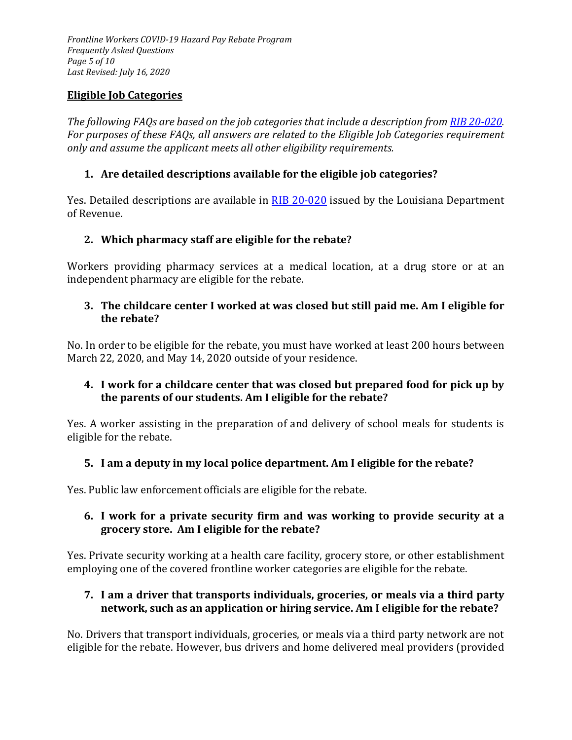*Frontline Workers COVID-19 Hazard Pay Rebate Program Frequently Asked Questions Page 5 of 10 Last Revised: July 16, 2020*

### <span id="page-4-0"></span>**Eligible Job Categories**

*The following FAQs are based on the job categories that include a description fro[m RIB 20-020.](http://revenue.louisiana.gov/LawsPolicies/RIB%2020-020%20Frontline%20Worker%20COVID-19%20Hazard%20Pay%20Rebate.pdf) For purposes of these FAQs, all answers are related to the Eligible Job Categories requirement only and assume the applicant meets all other eligibility requirements.*

### **1. Are detailed descriptions available for the eligible job categories?**

Yes. Detailed descriptions are available in [RIB 20-020](http://revenue.louisiana.gov/LawsPolicies/RIB%2020-020%20Frontline%20Worker%20COVID-19%20Hazard%20Pay%20Rebate.pdf) issued by the Louisiana Department of Revenue.

### **2. Which pharmacy staff are eligible for the rebate?**

Workers providing pharmacy services at a medical location, at a drug store or at an independent pharmacy are eligible for the rebate.

#### **3. The childcare center I worked at was closed but still paid me. Am I eligible for the rebate?**

No. In order to be eligible for the rebate, you must have worked at least 200 hours between March 22, 2020, and May 14, 2020 outside of your residence.

### **4. I work for a childcare center that was closed but prepared food for pick up by the parents of our students. Am I eligible for the rebate?**

Yes. A worker assisting in the preparation of and delivery of school meals for students is eligible for the rebate.

#### **5. I am a deputy in my local police department. Am I eligible for the rebate?**

Yes. Public law enforcement officials are eligible for the rebate.

### **6. I work for a private security firm and was working to provide security at a grocery store. Am I eligible for the rebate?**

Yes. Private security working at a health care facility, grocery store, or other establishment employing one of the covered frontline worker categories are eligible for the rebate.

### **7. I am a driver that transports individuals, groceries, or meals via a third party network, such as an application or hiring service. Am I eligible for the rebate?**

No. Drivers that transport individuals, groceries, or meals via a third party network are not eligible for the rebate. However, bus drivers and home delivered meal providers (provided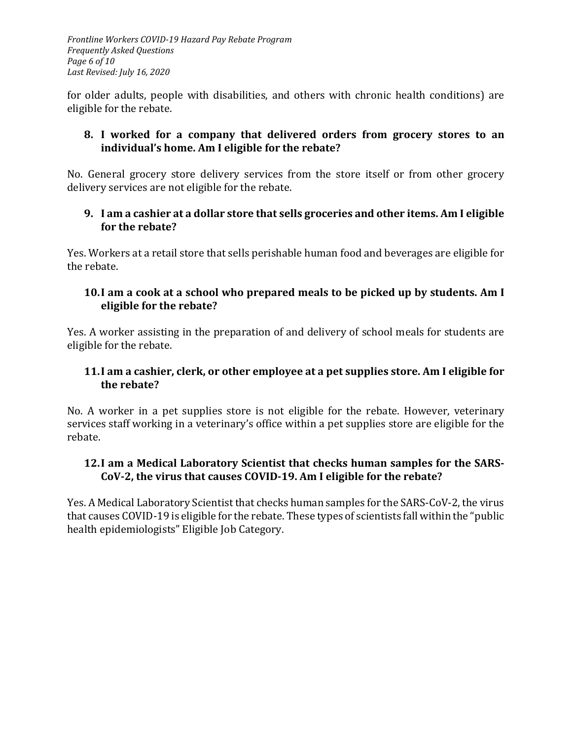*Frontline Workers COVID-19 Hazard Pay Rebate Program Frequently Asked Questions Page 6 of 10 Last Revised: July 16, 2020*

for older adults, people with disabilities, and others with chronic health conditions) are eligible for the rebate.

#### **8. I worked for a company that delivered orders from grocery stores to an individual's home. Am I eligible for the rebate?**

No. General grocery store delivery services from the store itself or from other grocery delivery services are not eligible for the rebate.

#### **9. I am a cashier at a dollar store that sells groceries and other items. Am I eligible for the rebate?**

Yes. Workers at a retail store that sells perishable human food and beverages are eligible for the rebate.

#### **10.I am a cook at a school who prepared meals to be picked up by students. Am I eligible for the rebate?**

Yes. A worker assisting in the preparation of and delivery of school meals for students are eligible for the rebate.

### **11.I am a cashier, clerk, or other employee at a pet supplies store. Am I eligible for the rebate?**

No. A worker in a pet supplies store is not eligible for the rebate. However, veterinary services staff working in a veterinary's office within a pet supplies store are eligible for the rebate.

#### **12.I am a Medical Laboratory Scientist that checks human samples for the SARS-CoV-2, the virus that causes COVID-19. Am I eligible for the rebate?**

Yes. A Medical Laboratory Scientist that checks human samples for the SARS-CoV-2, the virus that causes COVID-19 is eligible for the rebate. These types of scientists fall within the "public health epidemiologists" Eligible Job Category.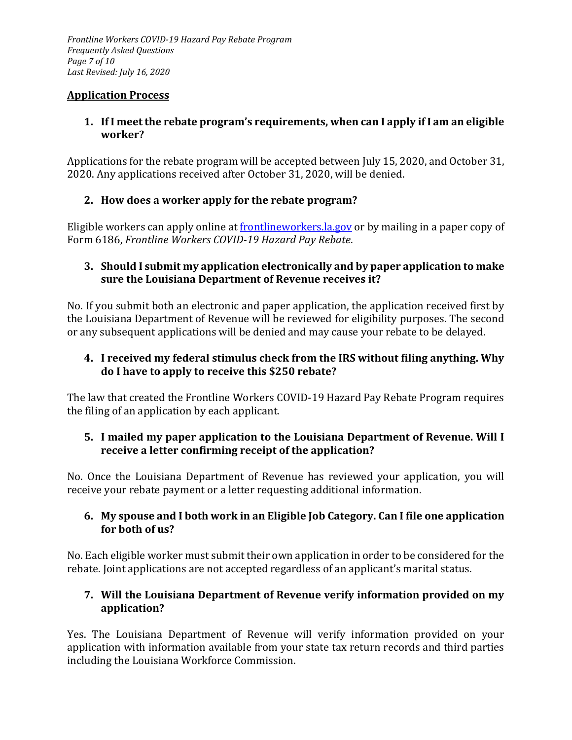#### <span id="page-6-0"></span>**Application Process**

#### **1. If I meet the rebate program's requirements, when can I apply if I am an eligible worker?**

Applications for the rebate program will be accepted between July 15, 2020, and October 31, 2020. Any applications received after October 31, 2020, will be denied.

# **2. How does a worker apply for the rebate program?**

Eligible workers can apply online at [frontlineworkers.la.gov](http://frontlineworkers.la.gov/) or by mailing in a paper copy of Form 6186, *Frontline Workers COVID-19 Hazard Pay Rebate*.

### **3. Should I submit my application electronically and by paper application to make sure the Louisiana Department of Revenue receives it?**

No. If you submit both an electronic and paper application, the application received first by the Louisiana Department of Revenue will be reviewed for eligibility purposes. The second or any subsequent applications will be denied and may cause your rebate to be delayed.

# **4. I received my federal stimulus check from the IRS without filing anything. Why do I have to apply to receive this \$250 rebate?**

The law that created the Frontline Workers COVID-19 Hazard Pay Rebate Program requires the filing of an application by each applicant.

# **5. I mailed my paper application to the Louisiana Department of Revenue. Will I receive a letter confirming receipt of the application?**

No. Once the Louisiana Department of Revenue has reviewed your application, you will receive your rebate payment or a letter requesting additional information.

# **6. My spouse and I both work in an Eligible Job Category. Can I file one application for both of us?**

No. Each eligible worker must submit their own application in order to be considered for the rebate. Joint applications are not accepted regardless of an applicant's marital status.

# **7. Will the Louisiana Department of Revenue verify information provided on my application?**

Yes. The Louisiana Department of Revenue will verify information provided on your application with information available from your state tax return records and third parties including the Louisiana Workforce Commission.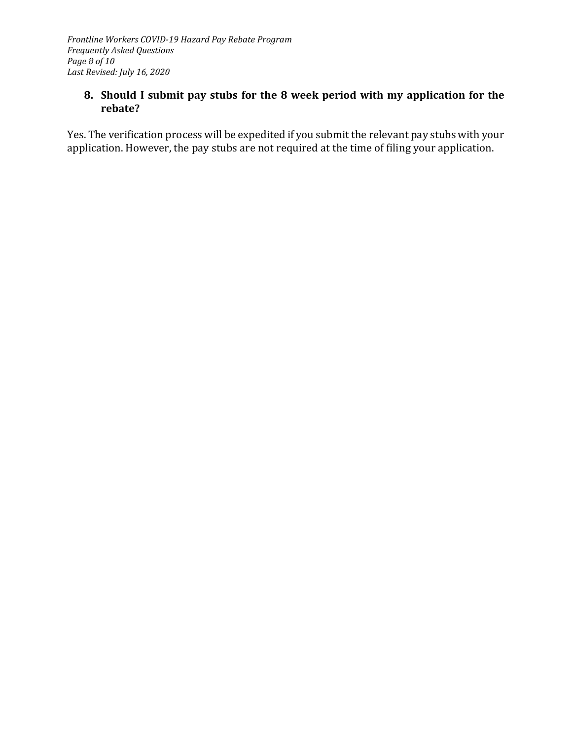### **8. Should I submit pay stubs for the 8 week period with my application for the rebate?**

Yes. The verification process will be expedited if you submit the relevant pay stubs with your application. However, the pay stubs are not required at the time of filing your application.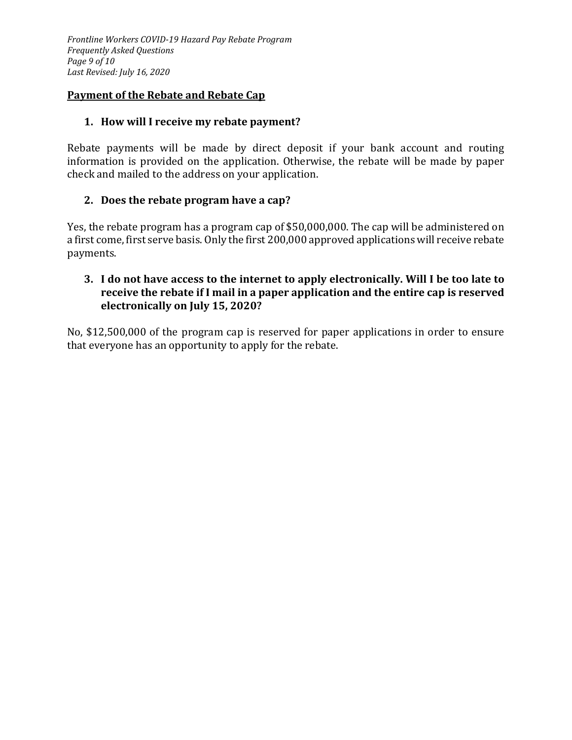#### <span id="page-8-0"></span>**Payment of the Rebate and Rebate Cap**

#### **1. How will I receive my rebate payment?**

Rebate payments will be made by direct deposit if your bank account and routing information is provided on the application. Otherwise, the rebate will be made by paper check and mailed to the address on your application.

# **2. Does the rebate program have a cap?**

Yes, the rebate program has a program cap of \$50,000,000. The cap will be administered on a first come, first serve basis. Only the first 200,000 approved applications will receive rebate payments.

#### **3. I do not have access to the internet to apply electronically. Will I be too late to receive the rebate if I mail in a paper application and the entire cap is reserved electronically on July 15, 2020?**

No, \$12,500,000 of the program cap is reserved for paper applications in order to ensure that everyone has an opportunity to apply for the rebate.